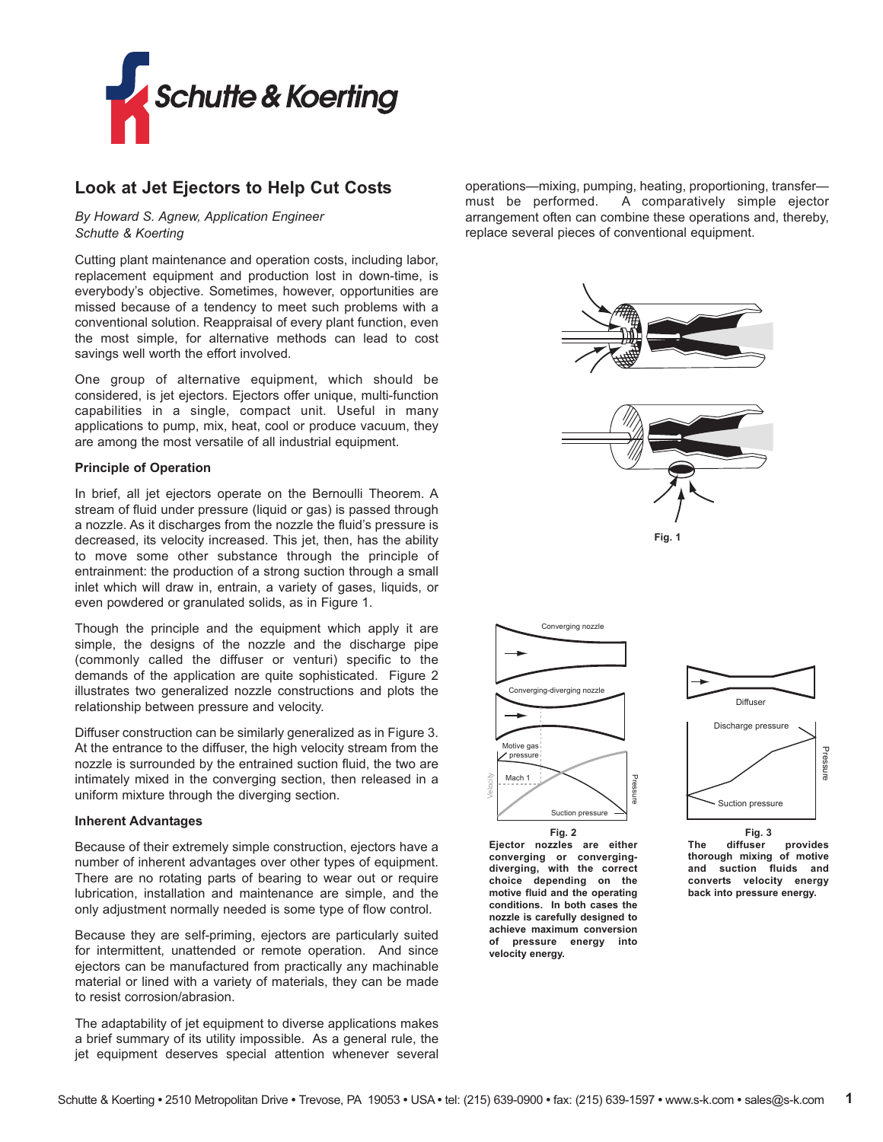

# **Look at Jet Ejectors to Help Cut Costs**

*By Howard S. Agnew, Application Engineer Schutte & Koerting*

Cutting plant maintenance and operation costs, including labor, replacement equipment and production lost in down-time, is everybody's objective. Sometimes, however, opportunities are missed because of a tendency to meet such problems with a conventional solution. Reappraisal of every plant function, even the most simple, for alternative methods can lead to cost savings well worth the effort involved.

One group of alternative equipment, which should be considered, is jet ejectors. Ejectors offer unique, multi-function capabilities in a single, compact unit. Useful in many applications to pump, mix, heat, cool or produce vacuum, they are among the most versatile of all industrial equipment.

#### **Principle of Operation**

In brief, all jet ejectors operate on the Bernoulli Theorem. A stream of fluid under pressure (liquid or gas) is passed through a nozzle. As it discharges from the nozzle the fluid's pressure is decreased, its velocity increased. This jet, then, has the ability to move some other substance through the principle of entrainment: the production of a strong suction through a small inlet which will draw in, entrain, a variety of gases, liquids, or even powdered or granulated solids, as in Figure 1.

Though the principle and the equipment which apply it are simple, the designs of the nozzle and the discharge pipe (commonly called the diffuser or venturi) specific to the demands of the application are quite sophisticated. Figure 2 illustrates two generalized nozzle constructions and plots the relationship between pressure and velocity.

Diffuser construction can be similarly generalized as in Figure 3. At the entrance to the diffuser, the high velocity stream from the nozzle is surrounded by the entrained suction fluid, the two are intimately mixed in the converging section, then released in a uniform mixture through the diverging section.

#### **Inherent Advantages**

Because of their extremely simple construction, ejectors have a number of inherent advantages over other types of equipment. There are no rotating parts of bearing to wear out or require lubrication, installation and maintenance are simple, and the only adjustment normally needed is some type of flow control.

Because they are self-priming, ejectors are particularly suited for intermittent, unattended or remote operation. And since ejectors can be manufactured from practically any machinable material or lined with a variety of materials, they can be made to resist corrosion/abrasion.

The adaptability of jet equipment to diverse applications makes a brief summary of its utility impossible. As a general rule, the jet equipment deserves special attention whenever several

operations—mixing, pumping, heating, proportioning, transfer must be performed. A comparatively simple ejector arrangement often can combine these operations and, thereby, replace several pieces of conventional equipment.







**Fig. 2 Ejector nozzles are either converging or convergingdiverging, with the correct choice depending on the motive fluid and the operating conditions. In both cases the nozzle is carefully designed to achieve maximum conversion of pressure energy into velocity energy.**

Suction pressure

Pressure

Pres

Mach 1

Velocity

Motive gas pressure

Converging-diverging nozzle

**Fig. 3 The diffuser provides thorough mixing of motive and suction fluids and converts velocity energy back into pressure energy.**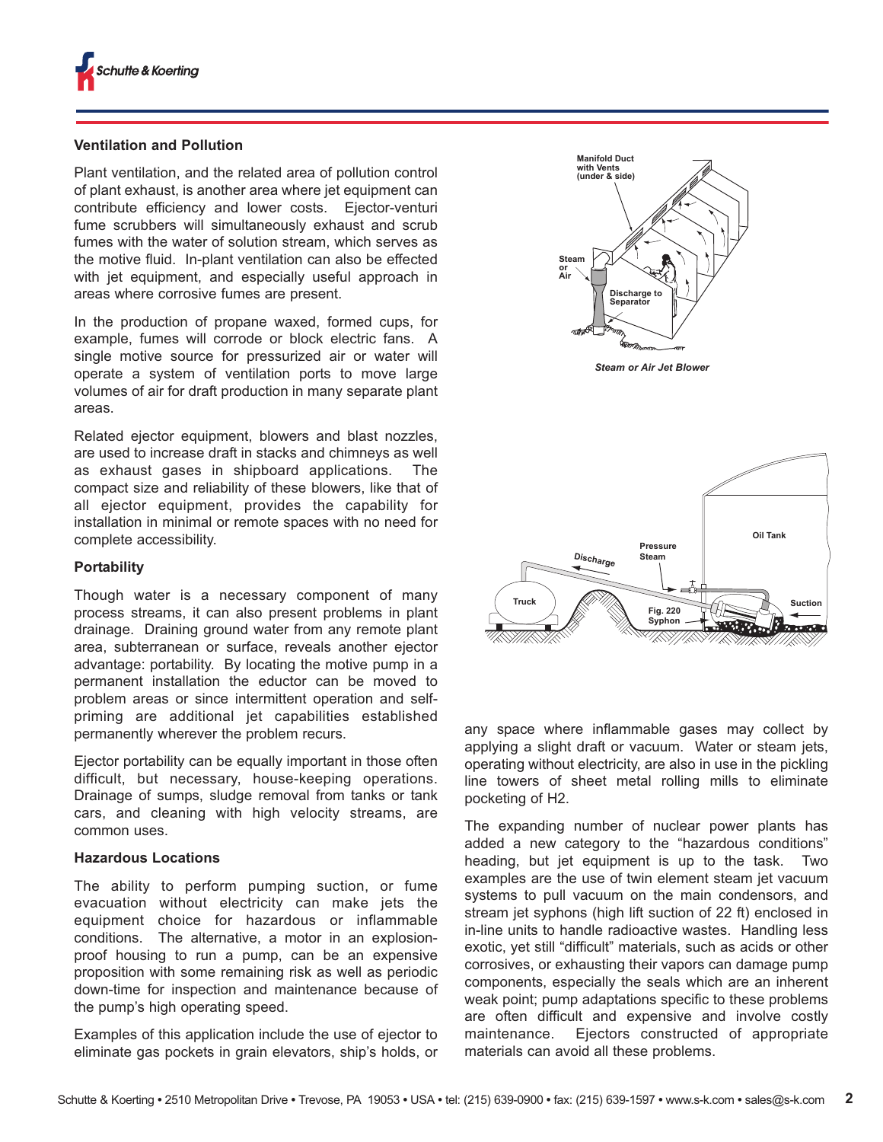## **Ventilation and Pollution**

Plant ventilation, and the related area of pollution control of plant exhaust, is another area where jet equipment can contribute efficiency and lower costs. Ejector-venturi fume scrubbers will simultaneously exhaust and scrub fumes with the water of solution stream, which serves as the motive fluid. In-plant ventilation can also be effected with jet equipment, and especially useful approach in areas where corrosive fumes are present.

In the production of propane waxed, formed cups, for example, fumes will corrode or block electric fans. A single motive source for pressurized air or water will operate a system of ventilation ports to move large volumes of air for draft production in many separate plant areas.

Related ejector equipment, blowers and blast nozzles, are used to increase draft in stacks and chimneys as well as exhaust gases in shipboard applications. The compact size and reliability of these blowers, like that of all ejector equipment, provides the capability for installation in minimal or remote spaces with no need for complete accessibility.

#### **Portability**

Though water is a necessary component of many process streams, it can also present problems in plant drainage. Draining ground water from any remote plant area, subterranean or surface, reveals another ejector advantage: portability. By locating the motive pump in a permanent installation the eductor can be moved to problem areas or since intermittent operation and selfpriming are additional jet capabilities established permanently wherever the problem recurs.

Ejector portability can be equally important in those often difficult, but necessary, house-keeping operations. Drainage of sumps, sludge removal from tanks or tank cars, and cleaning with high velocity streams, are common uses.

## **Hazardous Locations**

The ability to perform pumping suction, or fume evacuation without electricity can make jets the equipment choice for hazardous or inflammable conditions. The alternative, a motor in an explosionproof housing to run a pump, can be an expensive proposition with some remaining risk as well as periodic down-time for inspection and maintenance because of the pump's high operating speed.

Examples of this application include the use of ejector to eliminate gas pockets in grain elevators, ship's holds, or



*Steam or Air Jet Blower*



any space where inflammable gases may collect by applying a slight draft or vacuum. Water or steam jets, operating without electricity, are also in use in the pickling line towers of sheet metal rolling mills to eliminate pocketing of H2.

The expanding number of nuclear power plants has added a new category to the "hazardous conditions" heading, but jet equipment is up to the task. Two examples are the use of twin element steam jet vacuum systems to pull vacuum on the main condensors, and stream jet syphons (high lift suction of 22 ft) enclosed in in-line units to handle radioactive wastes. Handling less exotic, yet still "difficult" materials, such as acids or other corrosives, or exhausting their vapors can damage pump components, especially the seals which are an inherent weak point; pump adaptations specific to these problems are often difficult and expensive and involve costly maintenance. Ejectors constructed of appropriate materials can avoid all these problems.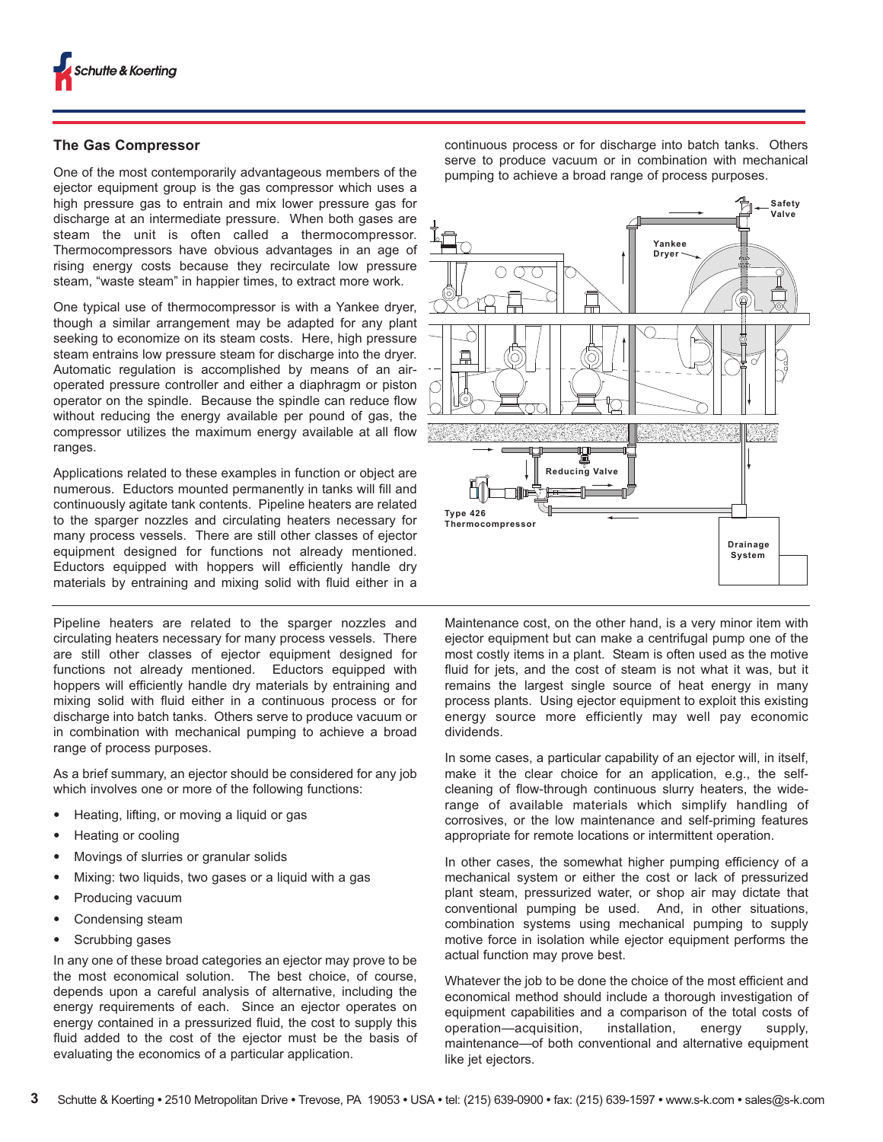

#### **The Gas Compressor**

One of the most contemporarily advantageous members of the ejector equipment group is the gas compressor which uses a high pressure gas to entrain and mix lower pressure gas for discharge at an intermediate pressure. When both gases are steam the unit is often called a thermocompressor. Thermocompressors have obvious advantages in an age of rising energy costs because they recirculate low pressure steam, "waste steam" in happier times, to extract more work.

One typical use of thermocompressor is with a Yankee dryer, though a similar arrangement may be adapted for any plant seeking to economize on its steam costs. Here, high pressure steam entrains low pressure steam for discharge into the dryer. Automatic regulation is accomplished by means of an airoperated pressure controller and either a diaphragm or piston operator on the spindle. Because the spindle can reduce flow without reducing the energy available per pound of gas, the compressor utilizes the maximum energy available at all flow ranges.

Applications related to these examples in function or object are numerous. Eductors mounted permanently in tanks will fill and continuously agitate tank contents. Pipeline heaters are related to the sparger nozzles and circulating heaters necessary for many process vessels. There are still other classes of ejector equipment designed for functions not already mentioned. Eductors equipped with hoppers will efficiently handle dry materials by entraining and mixing solid with fluid either in a

Pipeline heaters are related to the sparger nozzles and circulating heaters necessary for many process vessels. There are still other classes of ejector equipment designed for functions not already mentioned. Eductors equipped with hoppers will efficiently handle dry materials by entraining and mixing solid with fluid either in a continuous process or for discharge into batch tanks. Others serve to produce vacuum or in combination with mechanical pumping to achieve a broad range of process purposes.

As a brief summary, an ejector should be considered for any job which involves one or more of the following functions:

- **•** Heating, lifting, or moving a liquid or gas
- **•** Heating or cooling
- **•** Movings of slurries or granular solids
- **•** Mixing: two liquids, two gases or a liquid with a gas
- **•** Producing vacuum
- **•** Condensing steam
- **•** Scrubbing gases

In any one of these broad categories an ejector may prove to be the most economical solution. The best choice, of course, depends upon a careful analysis of alternative, including the energy requirements of each. Since an ejector operates on energy contained in a pressurized fluid, the cost to supply this fluid added to the cost of the ejector must be the basis of evaluating the economics of a particular application.

continuous process or for discharge into batch tanks. Others serve to produce vacuum or in combination with mechanical pumping to achieve a broad range of process purposes.



Maintenance cost, on the other hand, is a very minor item with ejector equipment but can make a centrifugal pump one of the most costly items in a plant. Steam is often used as the motive fluid for jets, and the cost of steam is not what it was, but it remains the largest single source of heat energy in many process plants. Using ejector equipment to exploit this existing energy source more efficiently may well pay economic dividends.

In some cases, a particular capability of an ejector will, in itself, make it the clear choice for an application, e.g., the selfcleaning of flow-through continuous slurry heaters, the widerange of available materials which simplify handling of corrosives, or the low maintenance and self-priming features appropriate for remote locations or intermittent operation.

In other cases, the somewhat higher pumping efficiency of a mechanical system or either the cost or lack of pressurized plant steam, pressurized water, or shop air may dictate that conventional pumping be used. And, in other situations, combination systems using mechanical pumping to supply motive force in isolation while ejector equipment performs the actual function may prove best.

Whatever the job to be done the choice of the most efficient and economical method should include a thorough investigation of equipment capabilities and a comparison of the total costs of operation—acquisition, installation, energy supply, maintenance—of both conventional and alternative equipment like jet ejectors.